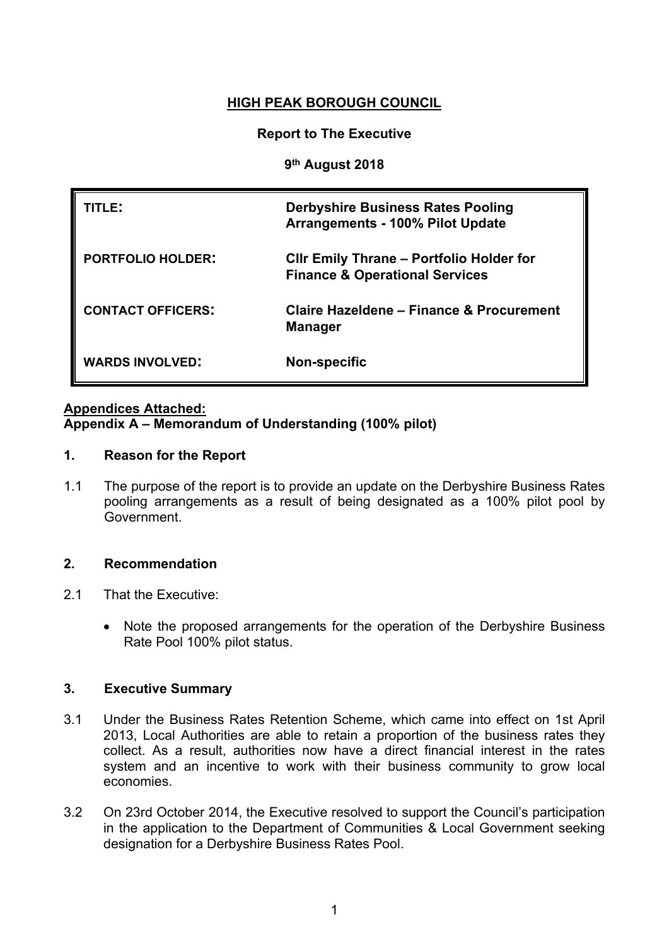### **HIGH PEAK BOROUGH COUNCIL**

### **Report to The Executive**

**9 th August 2018**

| TITLE:                   | <b>Derbyshire Business Rates Pooling</b><br><b>Arrangements - 100% Pilot Update</b>          |
|--------------------------|----------------------------------------------------------------------------------------------|
| <b>PORTFOLIO HOLDER:</b> | <b>CIIr Emily Thrane – Portfolio Holder for</b><br><b>Finance &amp; Operational Services</b> |
| <b>CONTACT OFFICERS:</b> | Claire Hazeldene - Finance & Procurement<br><b>Manager</b>                                   |
| <b>WARDS INVOLVED:</b>   | Non-specific                                                                                 |

### **Appendices Attached:**

**Appendix A – Memorandum of Understanding (100% pilot)**

### **1. Reason for the Report**

1.1 The purpose of the report is to provide an update on the Derbyshire Business Rates pooling arrangements as a result of being designated as a 100% pilot pool by Government.

### **2. Recommendation**

- 2.1 That the Executive:
	- Note the proposed arrangements for the operation of the Derbyshire Business Rate Pool 100% pilot status.

### **3. Executive Summary**

- 3.1 Under the Business Rates Retention Scheme, which came into effect on 1st April 2013, Local Authorities are able to retain a proportion of the business rates they collect. As a result, authorities now have a direct financial interest in the rates system and an incentive to work with their business community to grow local economies.
- 3.2 On 23rd October 2014, the Executive resolved to support the Council's participation in the application to the Department of Communities & Local Government seeking designation for a Derbyshire Business Rates Pool.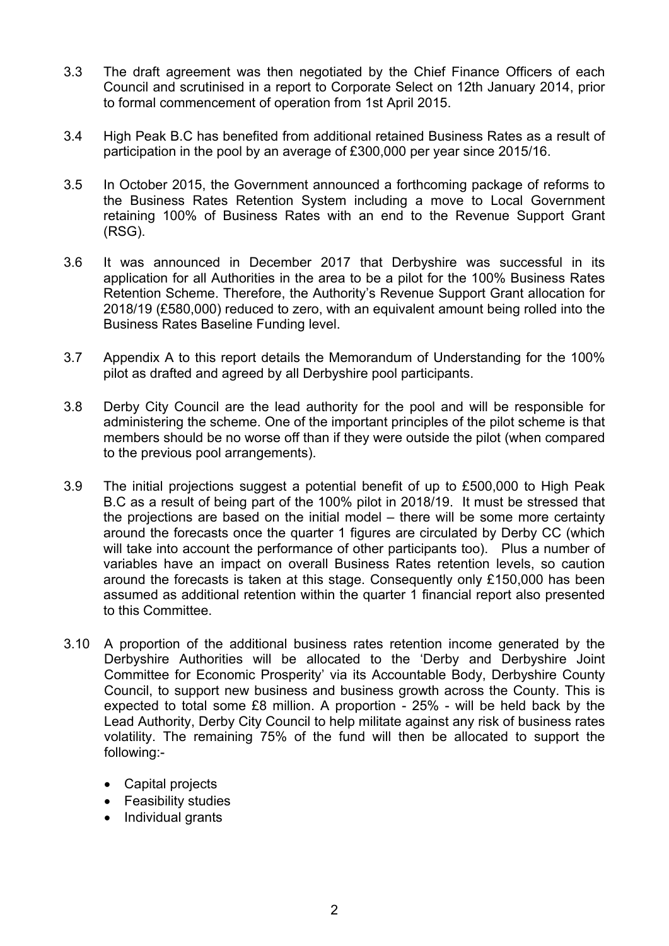- 3.3 The draft agreement was then negotiated by the Chief Finance Officers of each Council and scrutinised in a report to Corporate Select on 12th January 2014, prior to formal commencement of operation from 1st April 2015.
- 3.4 High Peak B.C has benefited from additional retained Business Rates as a result of participation in the pool by an average of £300,000 per year since 2015/16.
- 3.5 In October 2015, the Government announced a forthcoming package of reforms to the Business Rates Retention System including a move to Local Government retaining 100% of Business Rates with an end to the Revenue Support Grant (RSG).
- 3.6 It was announced in December 2017 that Derbyshire was successful in its application for all Authorities in the area to be a pilot for the 100% Business Rates Retention Scheme. Therefore, the Authority's Revenue Support Grant allocation for 2018/19 (£580,000) reduced to zero, with an equivalent amount being rolled into the Business Rates Baseline Funding level.
- 3.7 Appendix A to this report details the Memorandum of Understanding for the 100% pilot as drafted and agreed by all Derbyshire pool participants.
- 3.8 Derby City Council are the lead authority for the pool and will be responsible for administering the scheme. One of the important principles of the pilot scheme is that members should be no worse off than if they were outside the pilot (when compared to the previous pool arrangements).
- 3.9 The initial projections suggest a potential benefit of up to £500,000 to High Peak B.C as a result of being part of the 100% pilot in 2018/19. It must be stressed that the projections are based on the initial model – there will be some more certainty around the forecasts once the quarter 1 figures are circulated by Derby CC (which will take into account the performance of other participants too). Plus a number of variables have an impact on overall Business Rates retention levels, so caution around the forecasts is taken at this stage. Consequently only £150,000 has been assumed as additional retention within the quarter 1 financial report also presented to this Committee.
- 3.10 A proportion of the additional business rates retention income generated by the Derbyshire Authorities will be allocated to the 'Derby and Derbyshire Joint Committee for Economic Prosperity' via its Accountable Body, Derbyshire County Council, to support new business and business growth across the County. This is expected to total some £8 million. A proportion - 25% - will be held back by the Lead Authority, Derby City Council to help militate against any risk of business rates volatility. The remaining 75% of the fund will then be allocated to support the following:-
	- Capital projects
	- Feasibility studies
	- Individual grants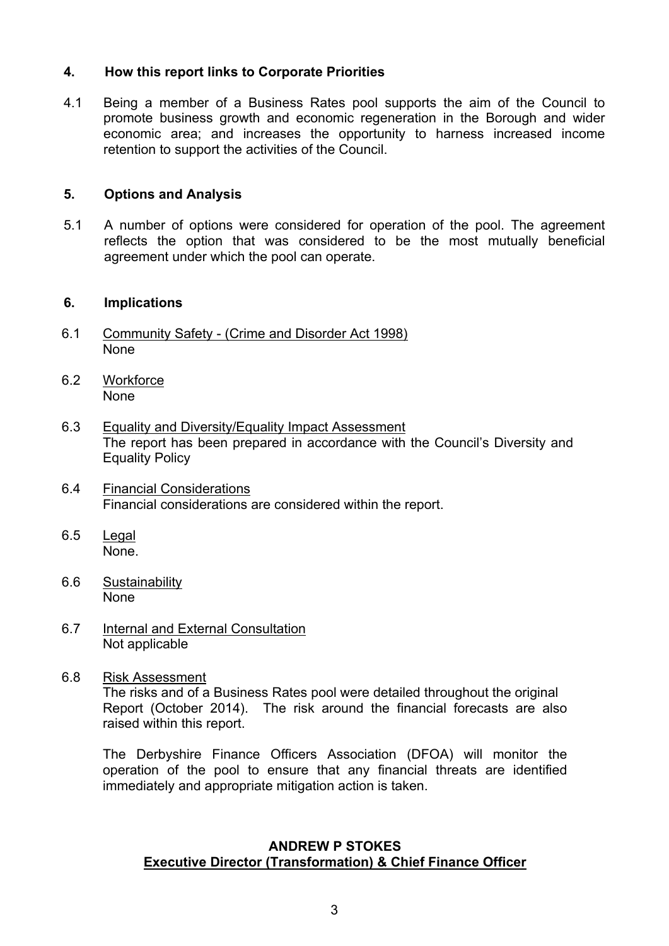### **4. How this report links to Corporate Priorities**

4.1 Being a member of a Business Rates pool supports the aim of the Council to promote business growth and economic regeneration in the Borough and wider economic area; and increases the opportunity to harness increased income retention to support the activities of the Council.

### **5. Options and Analysis**

5.1 A number of options were considered for operation of the pool. The agreement reflects the option that was considered to be the most mutually beneficial agreement under which the pool can operate.

### **6. Implications**

- 6.1 Community Safety (Crime and Disorder Act 1998) None
- 6.2 Workforce None
- 6.3 Equality and Diversity/Equality Impact Assessment The report has been prepared in accordance with the Council's Diversity and Equality Policy
- 6.4 Financial Considerations Financial considerations are considered within the report.
- 6.5 Legal None.
- 6.6 Sustainability None
- 6.7 Internal and External Consultation Not applicable
- 6.8 Risk Assessment The risks and of a Business Rates pool were detailed throughout the original Report (October 2014). The risk around the financial forecasts are also raised within this report.

The Derbyshire Finance Officers Association (DFOA) will monitor the operation of the pool to ensure that any financial threats are identified immediately and appropriate mitigation action is taken.

### **ANDREW P STOKES Executive Director (Transformation) & Chief Finance Officer**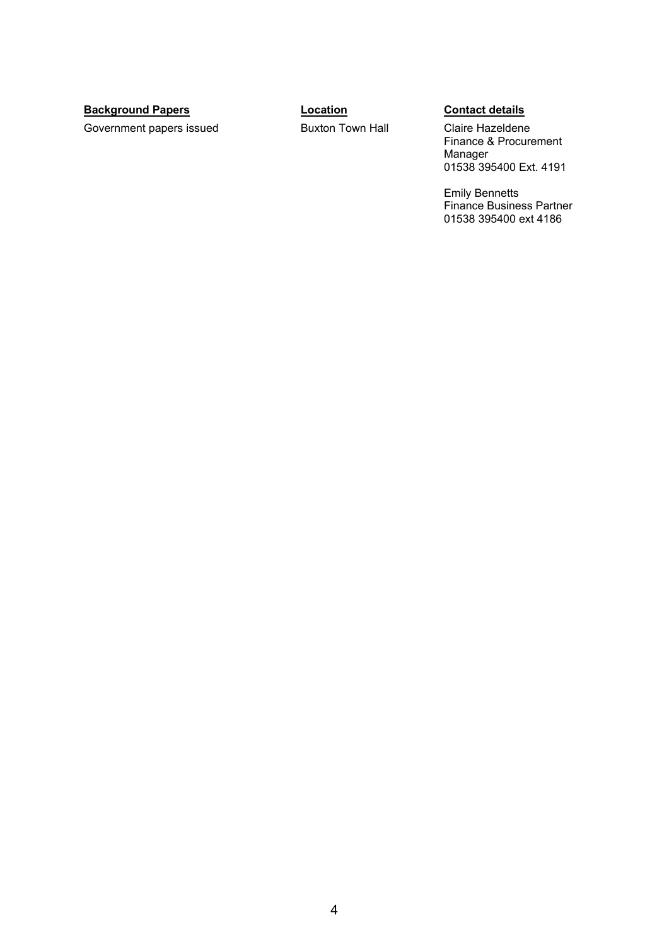### **Background Papers Contact Papers Location Contact details**

Government papers issued **Buxton Town Hall** Claire Hazeldene

Finance & Procurement Manager 01538 395400 Ext. 4191

Emily Bennetts Finance Business Partner 01538 395400 ext 4186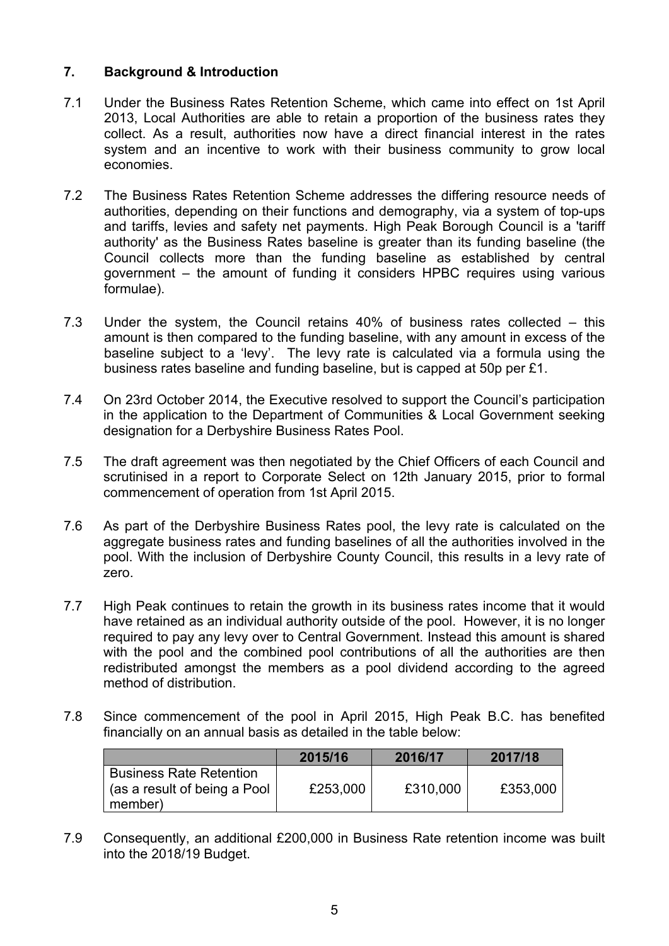### **7. Background & Introduction**

- 7.1 Under the Business Rates Retention Scheme, which came into effect on 1st April 2013, Local Authorities are able to retain a proportion of the business rates they collect. As a result, authorities now have a direct financial interest in the rates system and an incentive to work with their business community to grow local economies.
- 7.2 The Business Rates Retention Scheme addresses the differing resource needs of authorities, depending on their functions and demography, via a system of top-ups and tariffs, levies and safety net payments. High Peak Borough Council is a 'tariff authority' as the Business Rates baseline is greater than its funding baseline (the Council collects more than the funding baseline as established by central government – the amount of funding it considers HPBC requires using various formulae).
- 7.3 Under the system, the Council retains 40% of business rates collected this amount is then compared to the funding baseline, with any amount in excess of the baseline subject to a 'levy'. The levy rate is calculated via a formula using the business rates baseline and funding baseline, but is capped at 50p per £1.
- 7.4 On 23rd October 2014, the Executive resolved to support the Council's participation in the application to the Department of Communities & Local Government seeking designation for a Derbyshire Business Rates Pool.
- 7.5 The draft agreement was then negotiated by the Chief Officers of each Council and scrutinised in a report to Corporate Select on 12th January 2015, prior to formal commencement of operation from 1st April 2015.
- 7.6 As part of the Derbyshire Business Rates pool, the levy rate is calculated on the aggregate business rates and funding baselines of all the authorities involved in the pool. With the inclusion of Derbyshire County Council, this results in a levy rate of zero.
- 7.7 High Peak continues to retain the growth in its business rates income that it would have retained as an individual authority outside of the pool. However, it is no longer required to pay any levy over to Central Government. Instead this amount is shared with the pool and the combined pool contributions of all the authorities are then redistributed amongst the members as a pool dividend according to the agreed method of distribution.
- 7.8 Since commencement of the pool in April 2015, High Peak B.C. has benefited financially on an annual basis as detailed in the table below:

|                                                                           | 2015/16  | 2016/17  | 2017/18  |
|---------------------------------------------------------------------------|----------|----------|----------|
| <b>Business Rate Retention</b><br>(as a result of being a Pool<br>member) | £253,000 | £310,000 | £353,000 |

7.9 Consequently, an additional £200,000 in Business Rate retention income was built into the 2018/19 Budget.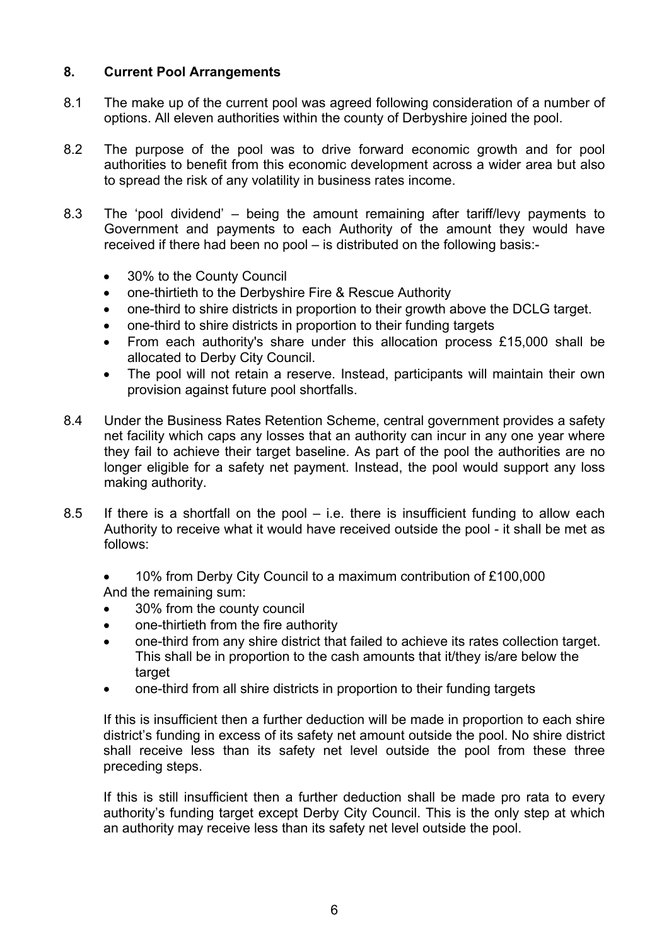### **8. Current Pool Arrangements**

- 8.1 The make up of the current pool was agreed following consideration of a number of options. All eleven authorities within the county of Derbyshire joined the pool.
- 8.2 The purpose of the pool was to drive forward economic growth and for pool authorities to benefit from this economic development across a wider area but also to spread the risk of any volatility in business rates income.
- 8.3 The 'pool dividend' being the amount remaining after tariff/levy payments to Government and payments to each Authority of the amount they would have received if there had been no pool – is distributed on the following basis:-
	- 30% to the County Council
	- one-thirtieth to the Derbyshire Fire & Rescue Authority
	- one-third to shire districts in proportion to their growth above the DCLG target.
	- one-third to shire districts in proportion to their funding targets
	- From each authority's share under this allocation process £15,000 shall be allocated to Derby City Council.
	- The pool will not retain a reserve. Instead, participants will maintain their own provision against future pool shortfalls.
- 8.4 Under the Business Rates Retention Scheme, central government provides a safety net facility which caps any losses that an authority can incur in any one year where they fail to achieve their target baseline. As part of the pool the authorities are no longer eligible for a safety net payment. Instead, the pool would support any loss making authority.
- 8.5 If there is a shortfall on the pool i.e. there is insufficient funding to allow each Authority to receive what it would have received outside the pool - it shall be met as follows:
	- 10% from Derby City Council to a maximum contribution of £100,000 And the remaining sum:
	- 30% from the county council
	- one-thirtieth from the fire authority
	- one-third from any shire district that failed to achieve its rates collection target. This shall be in proportion to the cash amounts that it/they is/are below the target
	- one-third from all shire districts in proportion to their funding targets

If this is insufficient then a further deduction will be made in proportion to each shire district's funding in excess of its safety net amount outside the pool. No shire district shall receive less than its safety net level outside the pool from these three preceding steps.

If this is still insufficient then a further deduction shall be made pro rata to every authority's funding target except Derby City Council. This is the only step at which an authority may receive less than its safety net level outside the pool.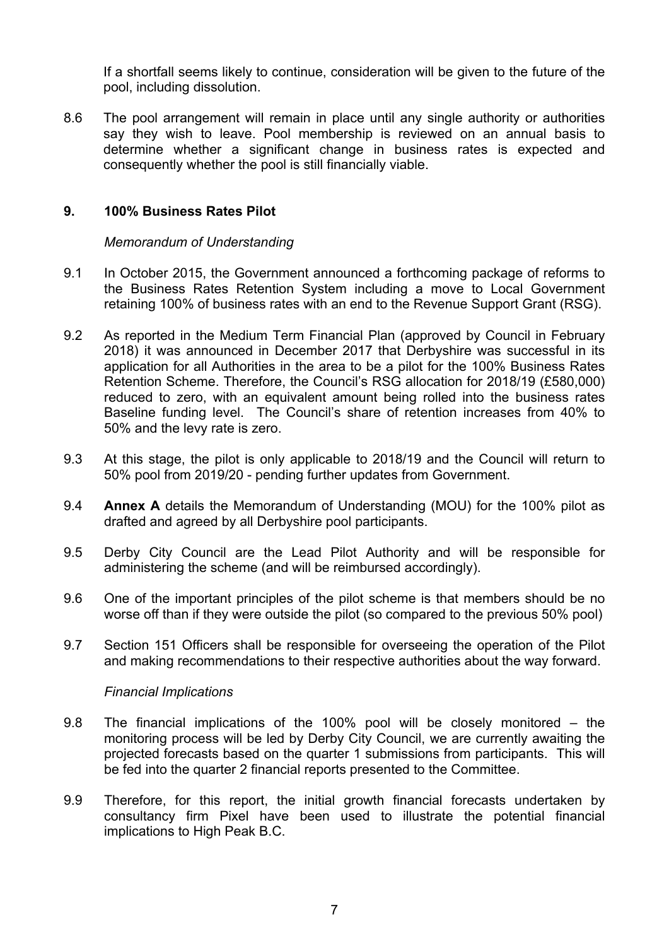If a shortfall seems likely to continue, consideration will be given to the future of the pool, including dissolution.

8.6 The pool arrangement will remain in place until any single authority or authorities say they wish to leave. Pool membership is reviewed on an annual basis to determine whether a significant change in business rates is expected and consequently whether the pool is still financially viable.

### **9. 100% Business Rates Pilot**

### *Memorandum of Understanding*

- 9.1 In October 2015, the Government announced a forthcoming package of reforms to the Business Rates Retention System including a move to Local Government retaining 100% of business rates with an end to the Revenue Support Grant (RSG).
- 9.2 As reported in the Medium Term Financial Plan (approved by Council in February 2018) it was announced in December 2017 that Derbyshire was successful in its application for all Authorities in the area to be a pilot for the 100% Business Rates Retention Scheme. Therefore, the Council's RSG allocation for 2018/19 (£580,000) reduced to zero, with an equivalent amount being rolled into the business rates Baseline funding level. The Council's share of retention increases from 40% to 50% and the levy rate is zero.
- 9.3 At this stage, the pilot is only applicable to 2018/19 and the Council will return to 50% pool from 2019/20 - pending further updates from Government.
- 9.4 **Annex A** details the Memorandum of Understanding (MOU) for the 100% pilot as drafted and agreed by all Derbyshire pool participants.
- 9.5 Derby City Council are the Lead Pilot Authority and will be responsible for administering the scheme (and will be reimbursed accordingly).
- 9.6 One of the important principles of the pilot scheme is that members should be no worse off than if they were outside the pilot (so compared to the previous 50% pool)
- 9.7 Section 151 Officers shall be responsible for overseeing the operation of the Pilot and making recommendations to their respective authorities about the way forward.

#### *Financial Implications*

- 9.8 The financial implications of the 100% pool will be closely monitored the monitoring process will be led by Derby City Council, we are currently awaiting the projected forecasts based on the quarter 1 submissions from participants. This will be fed into the quarter 2 financial reports presented to the Committee.
- 9.9 Therefore, for this report, the initial growth financial forecasts undertaken by consultancy firm Pixel have been used to illustrate the potential financial implications to High Peak B.C.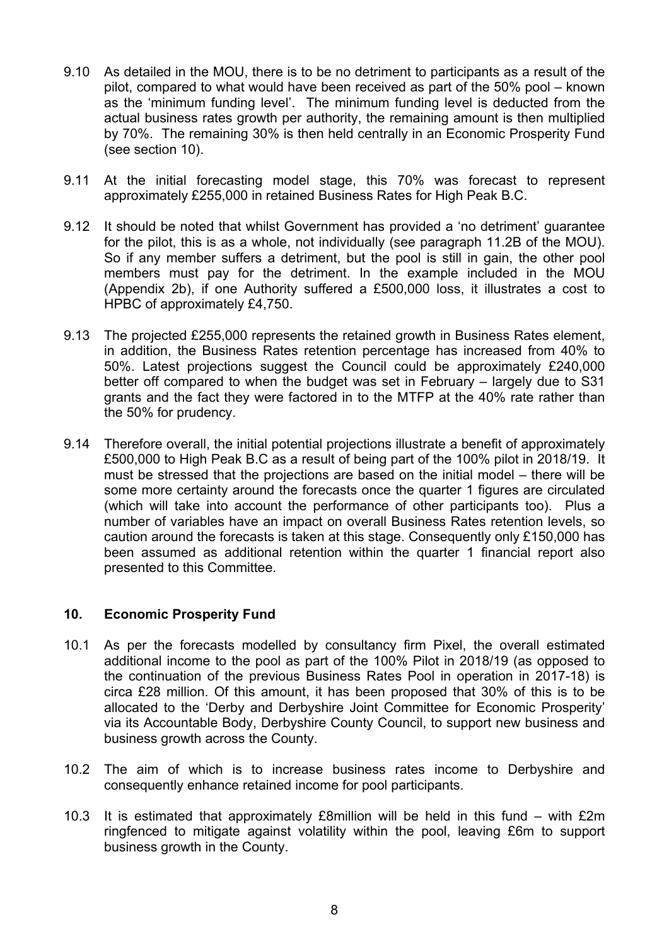- 9.10 As detailed in the MOU, there is to be no detriment to participants as a result of the pilot, compared to what would have been received as part of the 50% pool – known as the 'minimum funding level'. The minimum funding level is deducted from the actual business rates growth per authority, the remaining amount is then multiplied by 70%. The remaining 30% is then held centrally in an Economic Prosperity Fund (see section 10).
- 9.11 At the initial forecasting model stage, this 70% was forecast to represent approximately £255,000 in retained Business Rates for High Peak B.C.
- 9.12 It should be noted that whilst Government has provided a 'no detriment' guarantee for the pilot, this is as a whole, not individually (see paragraph 11.2B of the MOU). So if any member suffers a detriment, but the pool is still in gain, the other pool members must pay for the detriment. In the example included in the MOU (Appendix 2b), if one Authority suffered a £500,000 loss, it illustrates a cost to HPBC of approximately £4,750.
- 9.13 The projected £255,000 represents the retained growth in Business Rates element, in addition, the Business Rates retention percentage has increased from 40% to 50%. Latest projections suggest the Council could be approximately £240,000 better off compared to when the budget was set in February – largely due to S31 grants and the fact they were factored in to the MTFP at the 40% rate rather than the 50% for prudency.
- 9.14 Therefore overall, the initial potential projections illustrate a benefit of approximately £500,000 to High Peak B.C as a result of being part of the 100% pilot in 2018/19. It must be stressed that the projections are based on the initial model – there will be some more certainty around the forecasts once the quarter 1 figures are circulated (which will take into account the performance of other participants too). Plus a number of variables have an impact on overall Business Rates retention levels, so caution around the forecasts is taken at this stage. Consequently only £150,000 has been assumed as additional retention within the quarter 1 financial report also presented to this Committee.

### **10. Economic Prosperity Fund**

- 10.1 As per the forecasts modelled by consultancy firm Pixel, the overall estimated additional income to the pool as part of the 100% Pilot in 2018/19 (as opposed to the continuation of the previous Business Rates Pool in operation in 2017-18) is circa £28 million. Of this amount, it has been proposed that 30% of this is to be allocated to the 'Derby and Derbyshire Joint Committee for Economic Prosperity' via its Accountable Body, Derbyshire County Council, to support new business and business growth across the County.
- 10.2 The aim of which is to increase business rates income to Derbyshire and consequently enhance retained income for pool participants.
- 10.3 It is estimated that approximately £8million will be held in this fund with £2m ringfenced to mitigate against volatility within the pool, leaving £6m to support business growth in the County.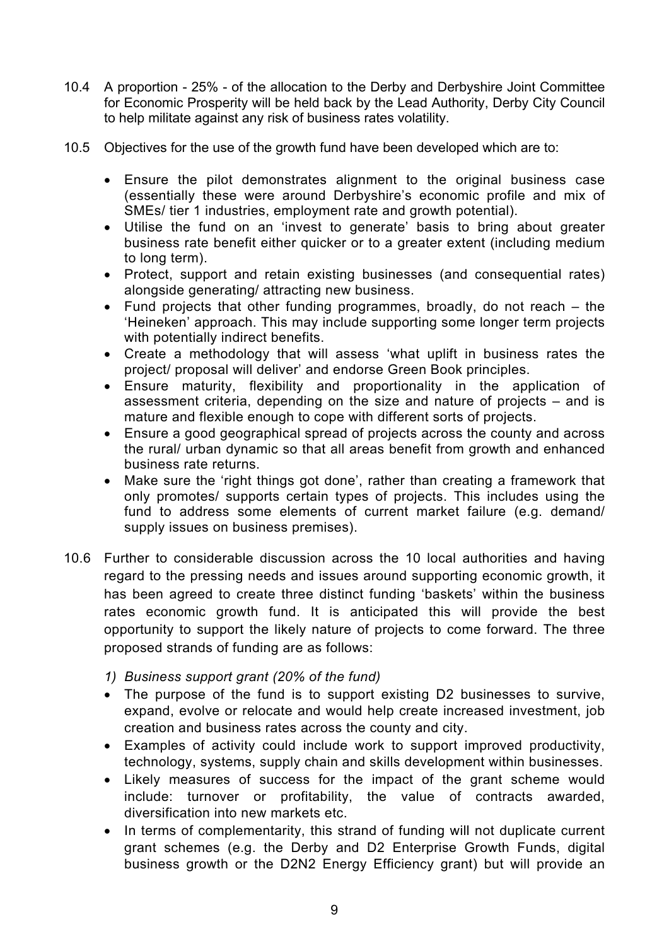- 10.4 A proportion 25% of the allocation to the Derby and Derbyshire Joint Committee for Economic Prosperity will be held back by the Lead Authority, Derby City Council to help militate against any risk of business rates volatility.
- 10.5 Objectives for the use of the growth fund have been developed which are to:
	- Ensure the pilot demonstrates alignment to the original business case (essentially these were around Derbyshire's economic profile and mix of SMEs/ tier 1 industries, employment rate and growth potential).
	- Utilise the fund on an 'invest to generate' basis to bring about greater business rate benefit either quicker or to a greater extent (including medium to long term).
	- Protect, support and retain existing businesses (and consequential rates) alongside generating/ attracting new business.
	- Fund projects that other funding programmes, broadly, do not reach the 'Heineken' approach. This may include supporting some longer term projects with potentially indirect benefits.
	- Create a methodology that will assess 'what uplift in business rates the project/ proposal will deliver' and endorse Green Book principles.
	- Ensure maturity, flexibility and proportionality in the application of assessment criteria, depending on the size and nature of projects – and is mature and flexible enough to cope with different sorts of projects.
	- Ensure a good geographical spread of projects across the county and across the rural/ urban dynamic so that all areas benefit from growth and enhanced business rate returns.
	- Make sure the 'right things got done', rather than creating a framework that only promotes/ supports certain types of projects. This includes using the fund to address some elements of current market failure (e.g. demand/ supply issues on business premises).
- 10.6 Further to considerable discussion across the 10 local authorities and having regard to the pressing needs and issues around supporting economic growth, it has been agreed to create three distinct funding 'baskets' within the business rates economic growth fund. It is anticipated this will provide the best opportunity to support the likely nature of projects to come forward. The three proposed strands of funding are as follows:
	- *1) Business support grant (20% of the fund)*
	- The purpose of the fund is to support existing D2 businesses to survive, expand, evolve or relocate and would help create increased investment, job creation and business rates across the county and city.
	- Examples of activity could include work to support improved productivity, technology, systems, supply chain and skills development within businesses.
	- Likely measures of success for the impact of the grant scheme would include: turnover or profitability, the value of contracts awarded, diversification into new markets etc.
	- In terms of complementarity, this strand of funding will not duplicate current grant schemes (e.g. the Derby and D2 Enterprise Growth Funds, digital business growth or the D2N2 Energy Efficiency grant) but will provide an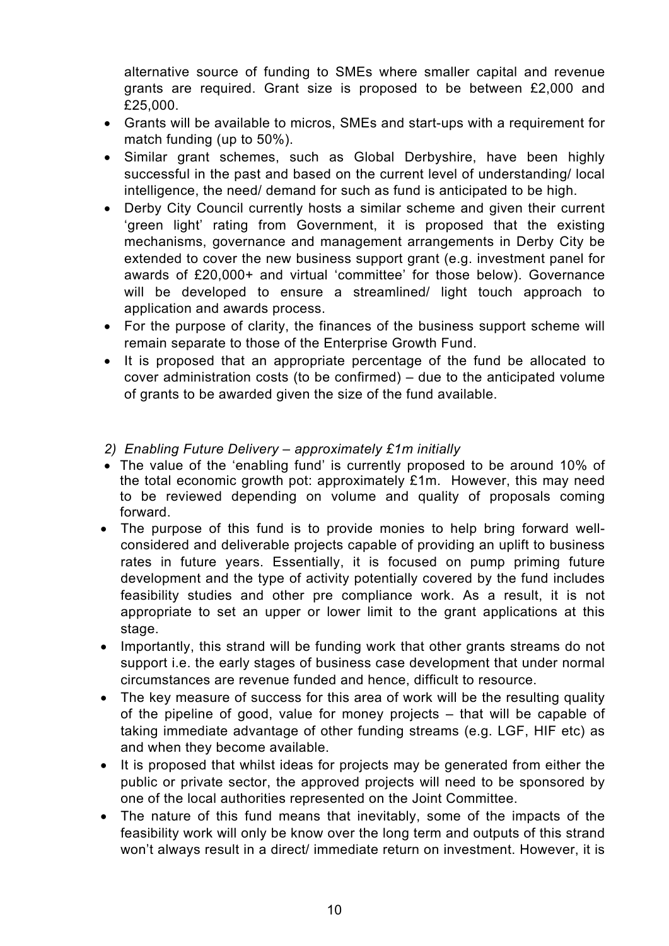alternative source of funding to SMEs where smaller capital and revenue grants are required. Grant size is proposed to be between £2,000 and £25,000.

- Grants will be available to micros, SMEs and start-ups with a requirement for match funding (up to 50%).
- Similar grant schemes, such as Global Derbyshire, have been highly successful in the past and based on the current level of understanding/ local intelligence, the need/ demand for such as fund is anticipated to be high.
- Derby City Council currently hosts a similar scheme and given their current 'green light' rating from Government, it is proposed that the existing mechanisms, governance and management arrangements in Derby City be extended to cover the new business support grant (e.g. investment panel for awards of £20,000+ and virtual 'committee' for those below). Governance will be developed to ensure a streamlined/ light touch approach to application and awards process.
- For the purpose of clarity, the finances of the business support scheme will remain separate to those of the Enterprise Growth Fund.
- It is proposed that an appropriate percentage of the fund be allocated to cover administration costs (to be confirmed) – due to the anticipated volume of grants to be awarded given the size of the fund available.
- *2) Enabling Future Delivery – approximately £1m initially*
- The value of the 'enabling fund' is currently proposed to be around 10% of the total economic growth pot: approximately £1m. However, this may need to be reviewed depending on volume and quality of proposals coming forward.
- The purpose of this fund is to provide monies to help bring forward wellconsidered and deliverable projects capable of providing an uplift to business rates in future years. Essentially, it is focused on pump priming future development and the type of activity potentially covered by the fund includes feasibility studies and other pre compliance work. As a result, it is not appropriate to set an upper or lower limit to the grant applications at this stage.
- Importantly, this strand will be funding work that other grants streams do not support i.e. the early stages of business case development that under normal circumstances are revenue funded and hence, difficult to resource.
- The key measure of success for this area of work will be the resulting quality of the pipeline of good, value for money projects – that will be capable of taking immediate advantage of other funding streams (e.g. LGF, HIF etc) as and when they become available.
- It is proposed that whilst ideas for projects may be generated from either the public or private sector, the approved projects will need to be sponsored by one of the local authorities represented on the Joint Committee.
- The nature of this fund means that inevitably, some of the impacts of the feasibility work will only be know over the long term and outputs of this strand won't always result in a direct/ immediate return on investment. However, it is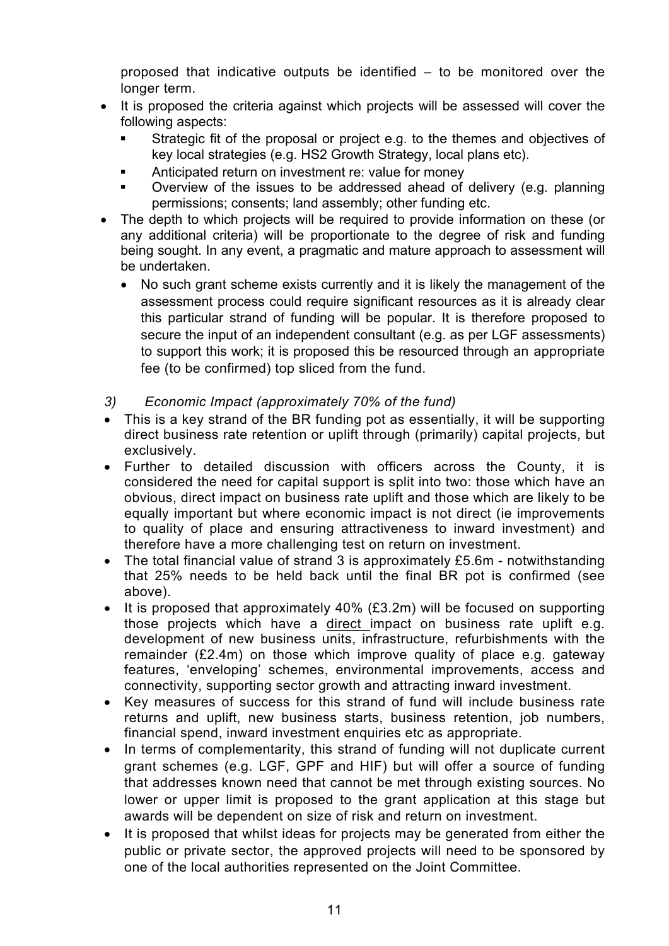proposed that indicative outputs be identified – to be monitored over the longer term.

- It is proposed the criteria against which projects will be assessed will cover the following aspects:
	- Strategic fit of the proposal or project e.g. to the themes and objectives of key local strategies (e.g. HS2 Growth Strategy, local plans etc).
	- Anticipated return on investment re: value for money
	- Overview of the issues to be addressed ahead of delivery (e.g. planning permissions; consents; land assembly; other funding etc.
- The depth to which projects will be required to provide information on these (or any additional criteria) will be proportionate to the degree of risk and funding being sought. In any event, a pragmatic and mature approach to assessment will be undertaken.
	- No such grant scheme exists currently and it is likely the management of the assessment process could require significant resources as it is already clear this particular strand of funding will be popular. It is therefore proposed to secure the input of an independent consultant (e.g. as per LGF assessments) to support this work; it is proposed this be resourced through an appropriate fee (to be confirmed) top sliced from the fund.
- *3) Economic Impact (approximately 70% of the fund)*
- This is a key strand of the BR funding pot as essentially, it will be supporting direct business rate retention or uplift through (primarily) capital projects, but exclusively.
- Further to detailed discussion with officers across the County, it is considered the need for capital support is split into two: those which have an obvious, direct impact on business rate uplift and those which are likely to be equally important but where economic impact is not direct (ie improvements to quality of place and ensuring attractiveness to inward investment) and therefore have a more challenging test on return on investment.
- The total financial value of strand 3 is approximately £5.6m notwithstanding that 25% needs to be held back until the final BR pot is confirmed (see above).
- It is proposed that approximately 40%  $(E3.2m)$  will be focused on supporting those projects which have a direct impact on business rate uplift e.g. development of new business units, infrastructure, refurbishments with the remainder (£2.4m) on those which improve quality of place e.g. gateway features, 'enveloping' schemes, environmental improvements, access and connectivity, supporting sector growth and attracting inward investment.
- Key measures of success for this strand of fund will include business rate returns and uplift, new business starts, business retention, job numbers, financial spend, inward investment enquiries etc as appropriate.
- In terms of complementarity, this strand of funding will not duplicate current grant schemes (e.g. LGF, GPF and HIF) but will offer a source of funding that addresses known need that cannot be met through existing sources. No lower or upper limit is proposed to the grant application at this stage but awards will be dependent on size of risk and return on investment.
- It is proposed that whilst ideas for projects may be generated from either the public or private sector, the approved projects will need to be sponsored by one of the local authorities represented on the Joint Committee.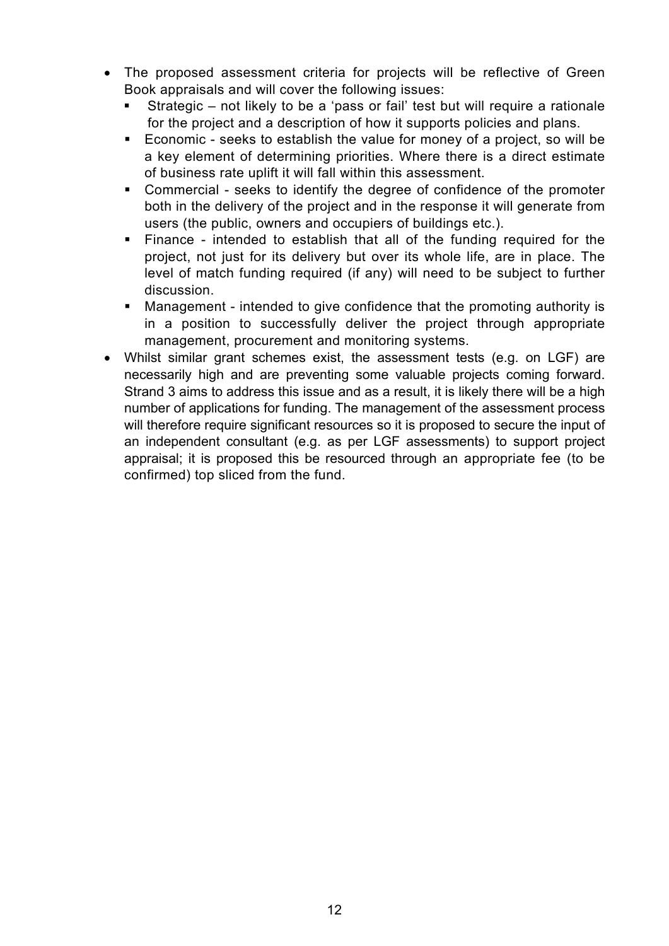- The proposed assessment criteria for projects will be reflective of Green Book appraisals and will cover the following issues:
	- Strategic not likely to be a 'pass or fail' test but will require a rationale for the project and a description of how it supports policies and plans.
	- Economic seeks to establish the value for money of a project, so will be a key element of determining priorities. Where there is a direct estimate of business rate uplift it will fall within this assessment.
	- Commercial seeks to identify the degree of confidence of the promoter both in the delivery of the project and in the response it will generate from users (the public, owners and occupiers of buildings etc.).
	- Finance intended to establish that all of the funding required for the project, not just for its delivery but over its whole life, are in place. The level of match funding required (if any) will need to be subject to further discussion.
	- Management intended to give confidence that the promoting authority is in a position to successfully deliver the project through appropriate management, procurement and monitoring systems.
- Whilst similar grant schemes exist, the assessment tests (e.g. on LGF) are necessarily high and are preventing some valuable projects coming forward. Strand 3 aims to address this issue and as a result, it is likely there will be a high number of applications for funding. The management of the assessment process will therefore require significant resources so it is proposed to secure the input of an independent consultant (e.g. as per LGF assessments) to support project appraisal; it is proposed this be resourced through an appropriate fee (to be confirmed) top sliced from the fund.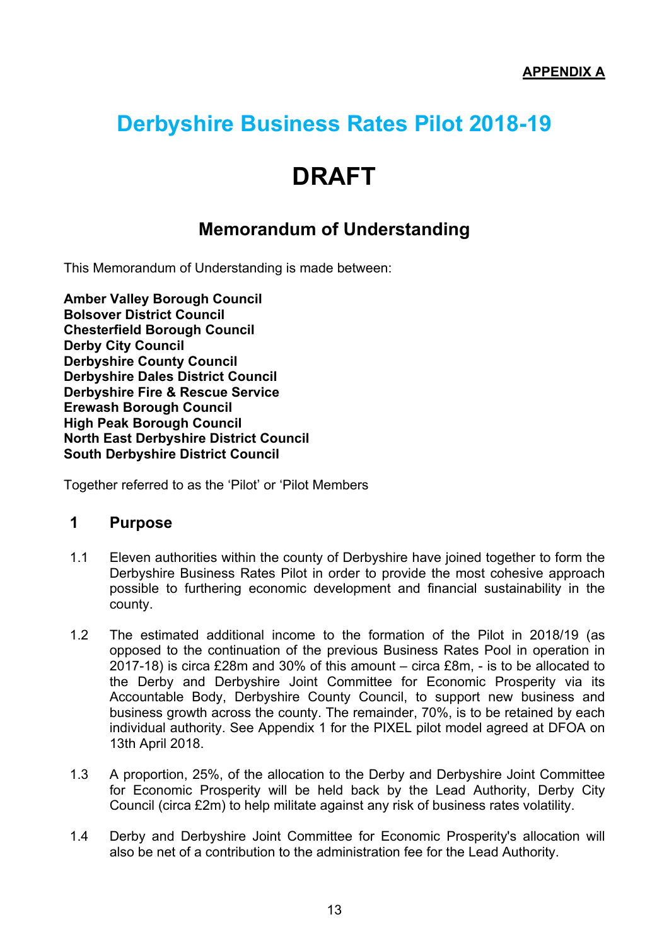# **Derbyshire Business Rates Pilot 2018-19**

# **DRAFT**

### **Memorandum of Understanding**

This Memorandum of Understanding is made between:

**Amber Valley Borough Council Bolsover District Council Chesterfield Borough Council Derby City Council Derbyshire County Council Derbyshire Dales District Council Derbyshire Fire & Rescue Service Erewash Borough Council High Peak Borough Council North East Derbyshire District Council South Derbyshire District Council**

Together referred to as the 'Pilot' or 'Pilot Members

### **1 Purpose**

- 1.1 Eleven authorities within the county of Derbyshire have joined together to form the Derbyshire Business Rates Pilot in order to provide the most cohesive approach possible to furthering economic development and financial sustainability in the county.
- 1.2 The estimated additional income to the formation of the Pilot in 2018/19 (as opposed to the continuation of the previous Business Rates Pool in operation in 2017-18) is circa £28m and 30% of this amount – circa £8m, - is to be allocated to the Derby and Derbyshire Joint Committee for Economic Prosperity via its Accountable Body, Derbyshire County Council, to support new business and business growth across the county. The remainder, 70%, is to be retained by each individual authority. See Appendix 1 for the PIXEL pilot model agreed at DFOA on 13th April 2018.
- 1.3 A proportion, 25%, of the allocation to the Derby and Derbyshire Joint Committee for Economic Prosperity will be held back by the Lead Authority, Derby City Council (circa £2m) to help militate against any risk of business rates volatility.
- 1.4 Derby and Derbyshire Joint Committee for Economic Prosperity's allocation will also be net of a contribution to the administration fee for the Lead Authority.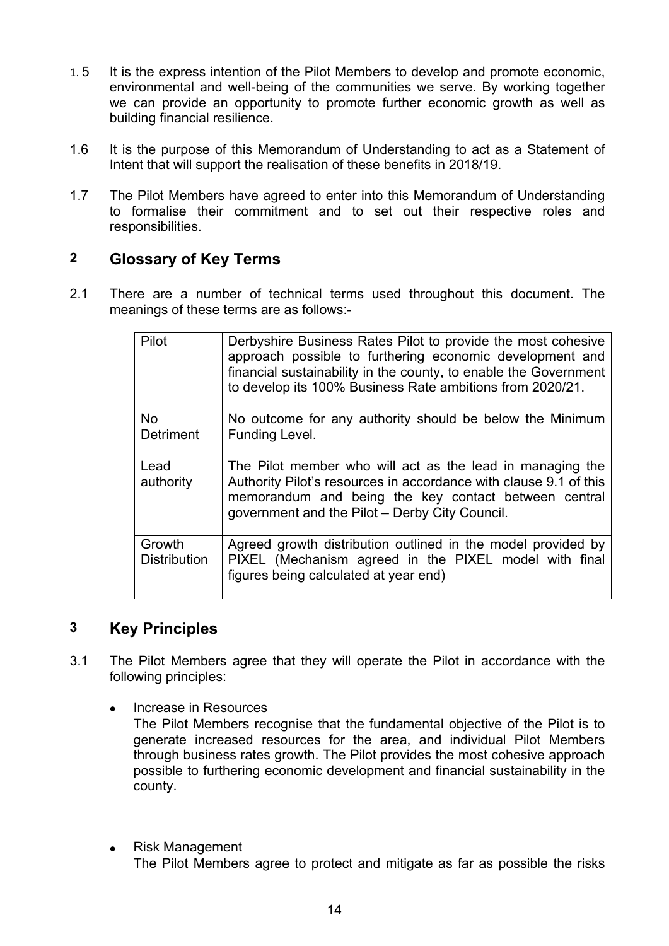- 1. 5 It is the express intention of the Pilot Members to develop and promote economic, environmental and well-being of the communities we serve. By working together we can provide an opportunity to promote further economic growth as well as building financial resilience.
- 1.6 It is the purpose of this Memorandum of Understanding to act as a Statement of Intent that will support the realisation of these benefits in 2018/19.
- 1.7 The Pilot Members have agreed to enter into this Memorandum of Understanding to formalise their commitment and to set out their respective roles and responsibilities.

### **2 Glossary of Key Terms**

2.1 There are a number of technical terms used throughout this document. The meanings of these terms are as follows:-

| Pilot                         | Derbyshire Business Rates Pilot to provide the most cohesive<br>approach possible to furthering economic development and<br>financial sustainability in the county, to enable the Government<br>to develop its 100% Business Rate ambitions from 2020/21. |
|-------------------------------|-----------------------------------------------------------------------------------------------------------------------------------------------------------------------------------------------------------------------------------------------------------|
| <b>No</b>                     | No outcome for any authority should be below the Minimum                                                                                                                                                                                                  |
| Detriment                     | Funding Level.                                                                                                                                                                                                                                            |
| Lead<br>authority             | The Pilot member who will act as the lead in managing the<br>Authority Pilot's resources in accordance with clause 9.1 of this<br>memorandum and being the key contact between central<br>government and the Pilot - Derby City Council.                  |
| Growth<br><b>Distribution</b> | Agreed growth distribution outlined in the model provided by<br>PIXEL (Mechanism agreed in the PIXEL model with final<br>figures being calculated at year end)                                                                                            |

### **3 Key Principles**

- 3.1 The Pilot Members agree that they will operate the Pilot in accordance with the following principles:
	- Increase in Resources The Pilot Members recognise that the fundamental objective of the Pilot is to generate increased resources for the area, and individual Pilot Members through business rates growth. The Pilot provides the most cohesive approach possible to furthering economic development and financial sustainability in the county.
	- Risk Management The Pilot Members agree to protect and mitigate as far as possible the risks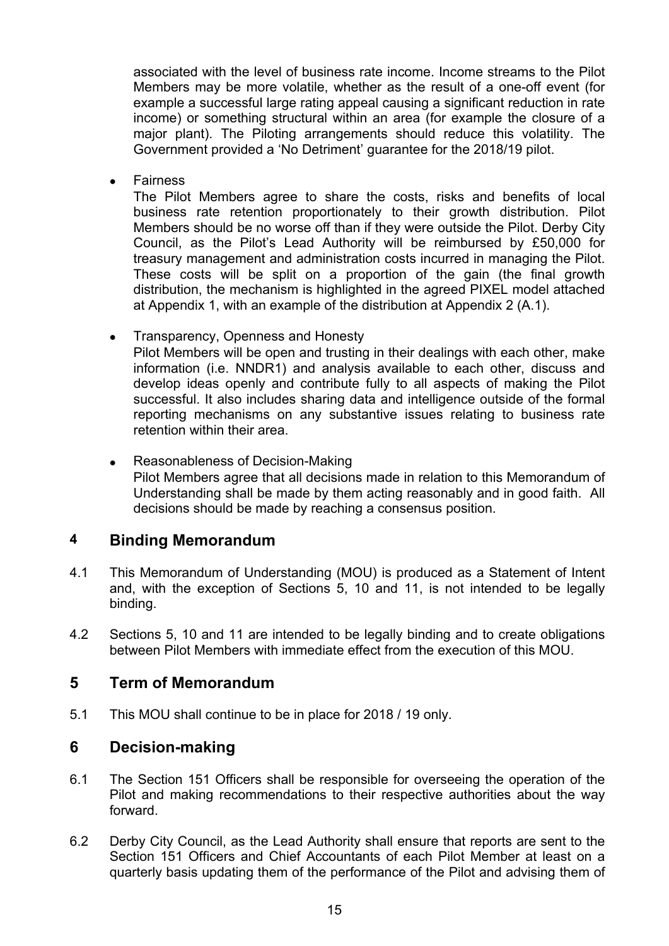associated with the level of business rate income. Income streams to the Pilot Members may be more volatile, whether as the result of a one-off event (for example a successful large rating appeal causing a significant reduction in rate income) or something structural within an area (for example the closure of a major plant). The Piloting arrangements should reduce this volatility. The Government provided a 'No Detriment' guarantee for the 2018/19 pilot.

**•** Fairness

The Pilot Members agree to share the costs, risks and benefits of local business rate retention proportionately to their growth distribution. Pilot Members should be no worse off than if they were outside the Pilot. Derby City Council, as the Pilot's Lead Authority will be reimbursed by £50,000 for treasury management and administration costs incurred in managing the Pilot. These costs will be split on a proportion of the gain (the final growth distribution, the mechanism is highlighted in the agreed PIXEL model attached at Appendix 1, with an example of the distribution at Appendix 2 (A.1).

- Transparency, Openness and Honesty Pilot Members will be open and trusting in their dealings with each other, make information (i.e. NNDR1) and analysis available to each other, discuss and develop ideas openly and contribute fully to all aspects of making the Pilot successful. It also includes sharing data and intelligence outside of the formal reporting mechanisms on any substantive issues relating to business rate retention within their area.
- Reasonableness of Decision-Making Pilot Members agree that all decisions made in relation to this Memorandum of Understanding shall be made by them acting reasonably and in good faith. All decisions should be made by reaching a consensus position.

### **4 Binding Memorandum**

- 4.1 This Memorandum of Understanding (MOU) is produced as a Statement of Intent and, with the exception of Sections 5, 10 and 11, is not intended to be legally binding.
- 4.2 Sections 5, 10 and 11 are intended to be legally binding and to create obligations between Pilot Members with immediate effect from the execution of this MOU.

### **5 Term of Memorandum**

5.1 This MOU shall continue to be in place for 2018 / 19 only.

### **6 Decision-making**

- 6.1 The Section 151 Officers shall be responsible for overseeing the operation of the Pilot and making recommendations to their respective authorities about the way forward.
- 6.2 Derby City Council, as the Lead Authority shall ensure that reports are sent to the Section 151 Officers and Chief Accountants of each Pilot Member at least on a quarterly basis updating them of the performance of the Pilot and advising them of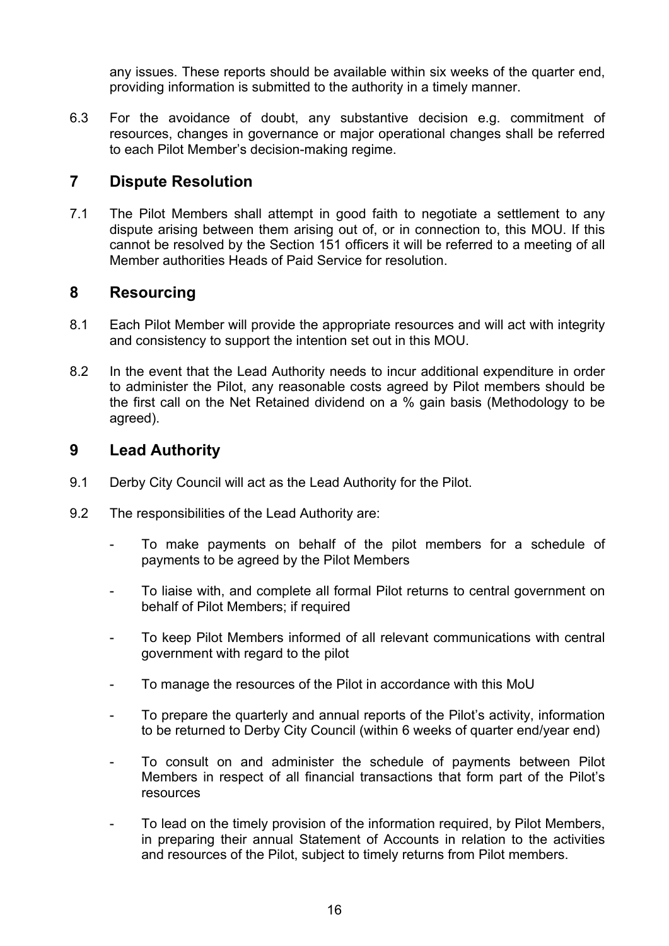any issues. These reports should be available within six weeks of the quarter end, providing information is submitted to the authority in a timely manner.

6.3 For the avoidance of doubt, any substantive decision e.g. commitment of resources, changes in governance or major operational changes shall be referred to each Pilot Member's decision-making regime.

### **7 Dispute Resolution**

7.1 The Pilot Members shall attempt in good faith to negotiate a settlement to any dispute arising between them arising out of, or in connection to, this MOU. If this cannot be resolved by the Section 151 officers it will be referred to a meeting of all Member authorities Heads of Paid Service for resolution.

### **8 Resourcing**

- 8.1 Each Pilot Member will provide the appropriate resources and will act with integrity and consistency to support the intention set out in this MOU.
- 8.2 In the event that the Lead Authority needs to incur additional expenditure in order to administer the Pilot, any reasonable costs agreed by Pilot members should be the first call on the Net Retained dividend on a % gain basis (Methodology to be agreed).

### **9 Lead Authority**

- 9.1 Derby City Council will act as the Lead Authority for the Pilot.
- 9.2 The responsibilities of the Lead Authority are:
	- To make payments on behalf of the pilot members for a schedule of payments to be agreed by the Pilot Members
	- To liaise with, and complete all formal Pilot returns to central government on behalf of Pilot Members; if required
	- To keep Pilot Members informed of all relevant communications with central government with regard to the pilot
	- To manage the resources of the Pilot in accordance with this MoU
	- To prepare the quarterly and annual reports of the Pilot's activity, information to be returned to Derby City Council (within 6 weeks of quarter end/year end)
	- To consult on and administer the schedule of payments between Pilot Members in respect of all financial transactions that form part of the Pilot's resources
	- To lead on the timely provision of the information required, by Pilot Members, in preparing their annual Statement of Accounts in relation to the activities and resources of the Pilot, subject to timely returns from Pilot members.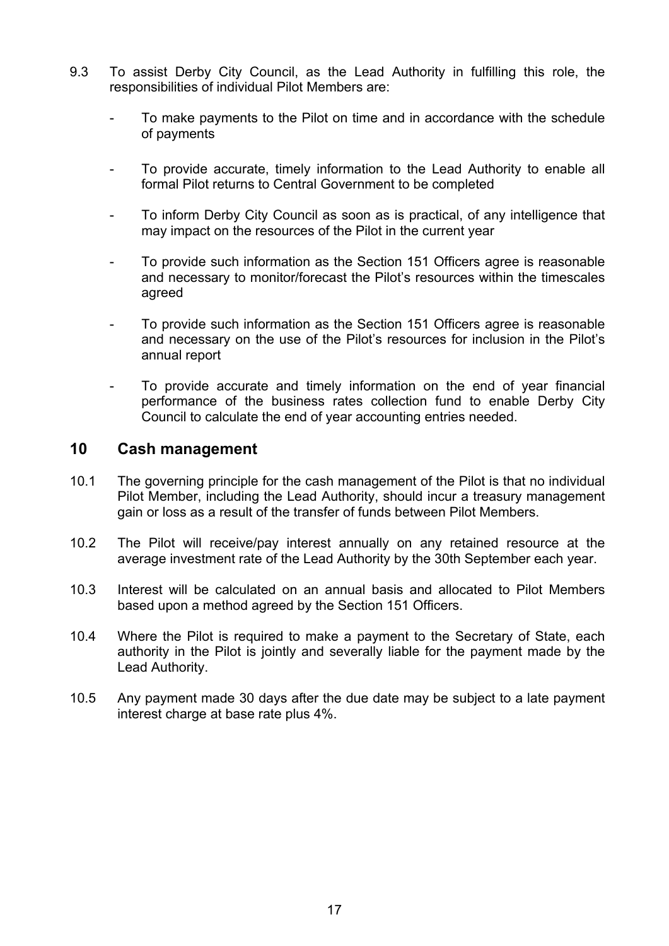- 9.3 To assist Derby City Council, as the Lead Authority in fulfilling this role, the responsibilities of individual Pilot Members are:
	- To make payments to the Pilot on time and in accordance with the schedule of payments
	- To provide accurate, timely information to the Lead Authority to enable all formal Pilot returns to Central Government to be completed
	- To inform Derby City Council as soon as is practical, of any intelligence that may impact on the resources of the Pilot in the current year
	- To provide such information as the Section 151 Officers agree is reasonable and necessary to monitor/forecast the Pilot's resources within the timescales agreed
	- To provide such information as the Section 151 Officers agree is reasonable and necessary on the use of the Pilot's resources for inclusion in the Pilot's annual report
	- To provide accurate and timely information on the end of year financial performance of the business rates collection fund to enable Derby City Council to calculate the end of year accounting entries needed.

### **10 Cash management**

- 10.1 The governing principle for the cash management of the Pilot is that no individual Pilot Member, including the Lead Authority, should incur a treasury management gain or loss as a result of the transfer of funds between Pilot Members.
- 10.2 The Pilot will receive/pay interest annually on any retained resource at the average investment rate of the Lead Authority by the 30th September each year.
- 10.3 Interest will be calculated on an annual basis and allocated to Pilot Members based upon a method agreed by the Section 151 Officers.
- 10.4 Where the Pilot is required to make a payment to the Secretary of State, each authority in the Pilot is jointly and severally liable for the payment made by the Lead Authority.
- 10.5 Any payment made 30 days after the due date may be subject to a late payment interest charge at base rate plus 4%.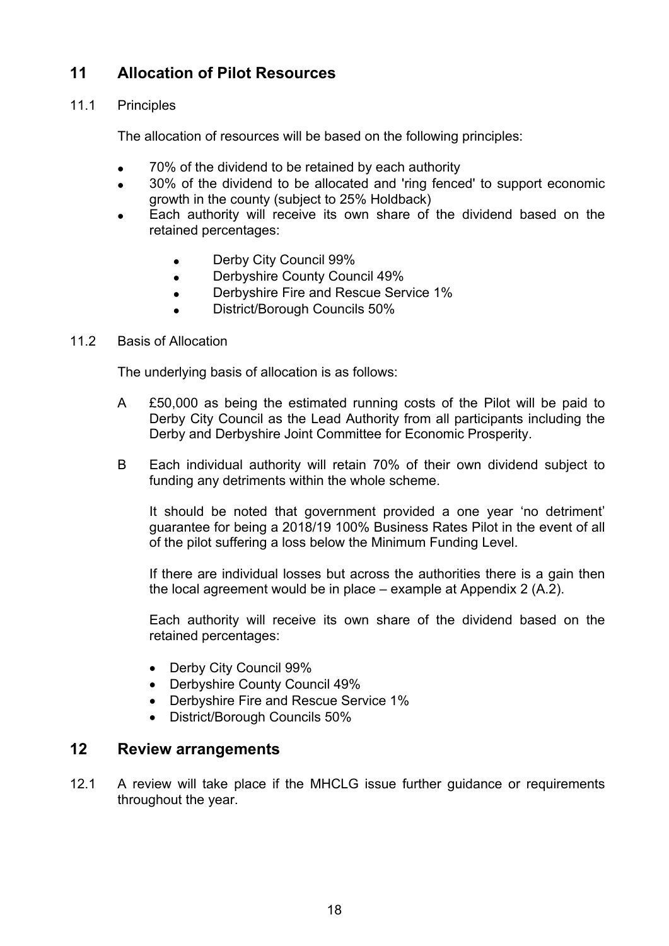### **11 Allocation of Pilot Resources**

### 11.1 Principles

The allocation of resources will be based on the following principles:

- 70% of the dividend to be retained by each authority
- 30% of the dividend to be allocated and 'ring fenced' to support economic growth in the county (subject to 25% Holdback)
- Each authority will receive its own share of the dividend based on the retained percentages:
	- Derby City Council 99%
	- Derbyshire County Council 49%
	- **•** Derbyshire Fire and Rescue Service 1%
	- District/Borough Councils 50%

### 11.2 Basis of Allocation

The underlying basis of allocation is as follows:

- A £50,000 as being the estimated running costs of the Pilot will be paid to Derby City Council as the Lead Authority from all participants including the Derby and Derbyshire Joint Committee for Economic Prosperity.
- B Each individual authority will retain 70% of their own dividend subject to funding any detriments within the whole scheme.

It should be noted that government provided a one year 'no detriment' guarantee for being a 2018/19 100% Business Rates Pilot in the event of all of the pilot suffering a loss below the Minimum Funding Level.

If there are individual losses but across the authorities there is a gain then the local agreement would be in place – example at Appendix 2 (A.2).

Each authority will receive its own share of the dividend based on the retained percentages:

- Derby City Council 99%
- Derbyshire County Council 49%
- Derbyshire Fire and Rescue Service 1%
- District/Borough Councils 50%

### **12 Review arrangements**

12.1 A review will take place if the MHCLG issue further guidance or requirements throughout the year.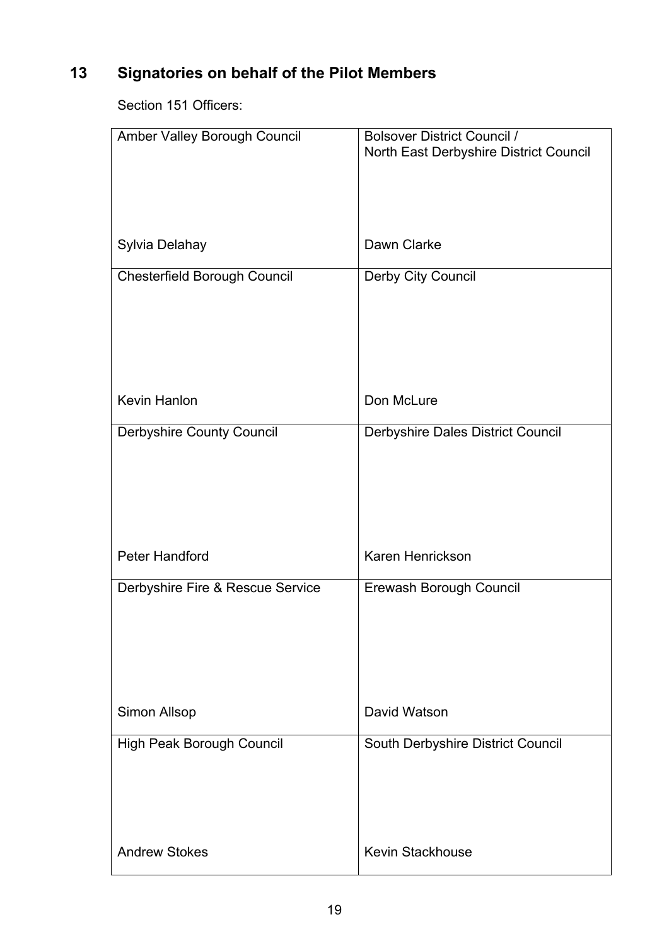## **13 Signatories on behalf of the Pilot Members**

Section 151 Officers:

| Amber Valley Borough Council        | <b>Bolsover District Council /</b><br>North East Derbyshire District Council |
|-------------------------------------|------------------------------------------------------------------------------|
|                                     |                                                                              |
| Sylvia Delahay                      | Dawn Clarke                                                                  |
| <b>Chesterfield Borough Council</b> | Derby City Council                                                           |
|                                     |                                                                              |
|                                     |                                                                              |
| <b>Kevin Hanlon</b>                 | Don McLure                                                                   |
| Derbyshire County Council           | Derbyshire Dales District Council                                            |
|                                     |                                                                              |
|                                     |                                                                              |
| Peter Handford                      | Karen Henrickson                                                             |
| Derbyshire Fire & Rescue Service    | Erewash Borough Council                                                      |
|                                     |                                                                              |
|                                     |                                                                              |
| Simon Allsop                        | David Watson                                                                 |
| High Peak Borough Council           | South Derbyshire District Council                                            |
|                                     |                                                                              |
|                                     |                                                                              |
| <b>Andrew Stokes</b>                | <b>Kevin Stackhouse</b>                                                      |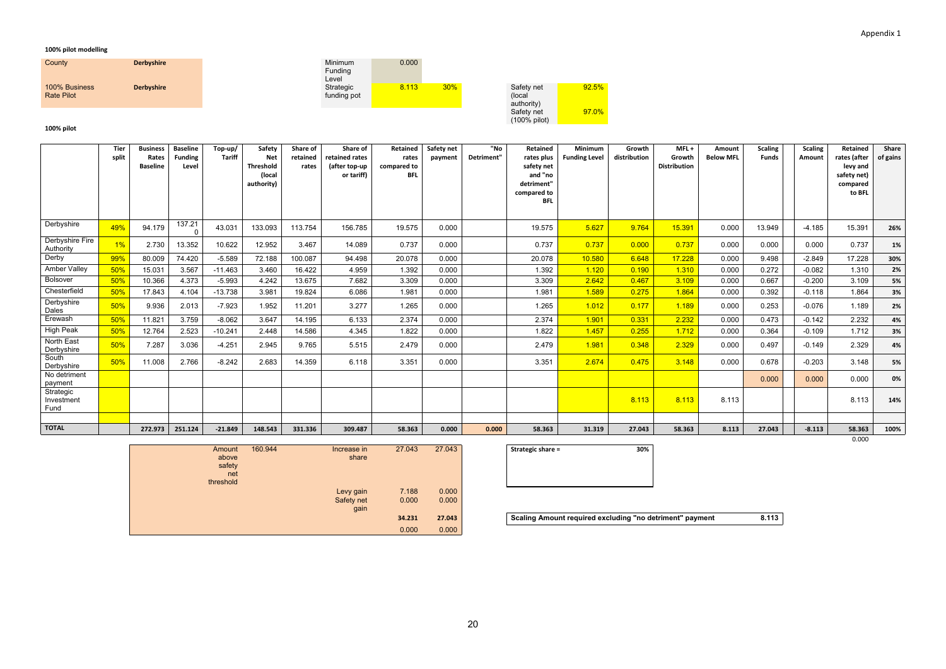#### **100% pilot modelling**

| County                             | <b>Derbyshire</b> | <b>Minimum</b><br><b>Funding</b><br>Level | 0.000 |     |                                     |       |
|------------------------------------|-------------------|-------------------------------------------|-------|-----|-------------------------------------|-------|
| 100% Business<br><b>Rate Pilot</b> | <b>Derbyshire</b> | Strategic<br>funding pot                  | 8.113 | 30% | Safety net<br>(local)<br>authority) | 92.5% |
|                                    |                   |                                           |       |     | Safety net                          | 97.0% |

(100% pilot)

**100% pilot**

|                                 | <b>Tier</b><br>split | <b>Business</b><br>Rates<br><b>Baseline</b> | <b>Baseline</b><br><b>Funding</b><br>Level | Top-up/<br><b>Tariff</b> | Safety<br><b>Net</b><br><b>Threshold</b><br>(local<br>authority) | Share of<br>retained<br>rates | Share of<br>retained rates<br>(after top-up<br>or tariff) | Retained<br>rates<br>compared to<br><b>BFL</b> | Safety net<br>payment | "No<br>Retained<br>Detriment"<br>rates plus<br>safety net<br>and "no<br>detriment"<br>compared to<br><b>BFL</b> | <b>Minimum</b><br><b>Funding Level</b> | Growth<br>distribution | $MFL +$<br>Growth<br><b>Distribution</b> | Amount<br><b>Below MFL</b> | <b>Scaling</b><br>Funds | <b>Scaling</b><br>Amount | Retained<br>rates (after<br>levy and<br>safety net)<br>compared<br>to BFL | <b>Share</b><br>of gains |
|---------------------------------|----------------------|---------------------------------------------|--------------------------------------------|--------------------------|------------------------------------------------------------------|-------------------------------|-----------------------------------------------------------|------------------------------------------------|-----------------------|-----------------------------------------------------------------------------------------------------------------|----------------------------------------|------------------------|------------------------------------------|----------------------------|-------------------------|--------------------------|---------------------------------------------------------------------------|--------------------------|
| Derbyshire                      | 49%                  | 94.179                                      | 137.21<br>0                                | 43.031                   | 133.093                                                          | 113.754                       | 156.785                                                   | 19.575                                         | 0.000                 | 19.575                                                                                                          | 5.627                                  | 9.764                  | 15.391                                   | 0.000                      | 13.949                  | $-4.185$                 | 15.391                                                                    | 26%                      |
| Derbyshire Fire<br>Authority    | $1\%$                | 2.730                                       | 13.352                                     | 10.622                   | 12.952                                                           | 3.467                         | 14.089                                                    | 0.737                                          | 0.000                 | 0.737                                                                                                           | 0.737                                  | 0.000                  | 0.737                                    | 0.000                      | 0.000                   | 0.000                    | 0.737                                                                     | 1%                       |
| Derby                           | 99%                  | 80.009                                      | 74.420                                     | $-5.589$                 | 72.188                                                           | 100.087                       | 94.498                                                    | 20.078                                         | 0.000                 | 20.078                                                                                                          | 10.580                                 | 6.648                  | 17.228                                   | 0.000                      | 9.498                   | $-2.849$                 | 17.228                                                                    | 30%                      |
| Amber Valley                    | 50%                  | 15.031                                      | 3.567                                      | $-11.463$                | 3.460                                                            | 16.422                        | 4.959                                                     | 1.392                                          | 0.000                 | 1.392                                                                                                           | 1.120                                  | 0.190                  | 1.310                                    | 0.000                      | 0.272                   | $-0.082$                 | 1.310                                                                     | 2%                       |
| <b>Bolsover</b>                 | 50%                  | 10.366                                      | 4.373                                      | $-5.993$                 | 4.242                                                            | 13.675                        | 7.682                                                     | 3.309                                          | 0.000                 | 3.309                                                                                                           | 2.642                                  | 0.467                  | 3.109                                    | 0.000                      | 0.667                   | $-0.200$                 | 3.109                                                                     | 5%                       |
| Chesterfield                    | 50%                  | 17.843                                      | 4.104                                      | $-13.738$                | 3.981                                                            | 19.824                        | 6.086                                                     | 1.981                                          | 0.000                 | 1.981                                                                                                           | 1.589                                  | 0.275                  | 1.864                                    | 0.000                      | 0.392                   | $-0.118$                 | 1.864                                                                     | 3%                       |
| Derbyshire<br>Dales             | 50%                  | 9.936                                       | 2.013                                      | $-7.923$                 | 1.952                                                            | 11.201                        | 3.277                                                     | 1.265                                          | 0.000                 | 1.265                                                                                                           | 1.012                                  | 0.177                  | 1.189                                    | 0.000                      | 0.253                   | $-0.076$                 | 1.189                                                                     | 2%                       |
| Erewash                         | 50%                  | 11.821                                      | 3.759                                      | $-8.062$                 | 3.647                                                            | 14.195                        | 6.133                                                     | 2.374                                          | 0.000                 | 2.374                                                                                                           | 1.901                                  | 0.331                  | 2.232                                    | 0.000                      | 0.473                   | $-0.142$                 | 2.232                                                                     | 4%                       |
| <b>High Peak</b>                | 50%                  | 12.764                                      | 2.523                                      | $-10.241$                | 2.448                                                            | 14.586                        | 4.345                                                     | 1.822                                          | 0.000                 | 1.822                                                                                                           | 1.457                                  | 0.255                  | 1.712                                    | 0.000                      | 0.364                   | $-0.109$                 | 1.712                                                                     | 3%                       |
| North East<br>Derbyshire        | 50%                  | 7.287                                       | 3.036                                      | $-4.251$                 | 2.945                                                            | 9.765                         | 5.515                                                     | 2.479                                          | 0.000                 | 2.479                                                                                                           | 1.981                                  | 0.348                  | 2.329                                    | 0.000                      | 0.497                   | $-0.149$                 | 2.329                                                                     | 4%                       |
| South<br>Derbyshire             | 50%                  | 11.008                                      | 2.766                                      | $-8.242$                 | 2.683                                                            | 14.359                        | 6.118                                                     | 3.351                                          | 0.000                 | 3.351                                                                                                           | 2.674                                  | 0.475                  | 3.148                                    | 0.000                      | 0.678                   | $-0.203$                 | 3.148                                                                     | 5%                       |
| No detriment<br>payment         |                      |                                             |                                            |                          |                                                                  |                               |                                                           |                                                |                       |                                                                                                                 |                                        |                        |                                          |                            | 0.000                   | 0.000                    | 0.000                                                                     | 0%                       |
| Strategic<br>Investment<br>Fund |                      |                                             |                                            |                          |                                                                  |                               |                                                           |                                                |                       |                                                                                                                 |                                        | 8.113                  | 8.113                                    | 8.113                      |                         |                          | 8.113                                                                     | 14%                      |
| <b>TOTAL</b>                    |                      |                                             |                                            |                          |                                                                  |                               |                                                           |                                                |                       |                                                                                                                 |                                        |                        |                                          |                            |                         |                          |                                                                           |                          |
|                                 |                      | 272.973                                     | 251.124                                    | $-21.849$                | 148.543                                                          | 331.336                       | 309.487                                                   | 58.363                                         | 0.000                 | 58.363<br>0.000                                                                                                 | 31.319                                 | 27.043                 | 58.363                                   | 8.113                      | 27.043                  | $-8.113$                 | 58.363<br>0.000                                                           | 100%                     |

| 27.043 | 27.043 | Strategic share = |
|--------|--------|-------------------|
|        |        |                   |
|        |        |                   |
|        |        |                   |
| 7.400  | 0.000  |                   |

| Amount<br>above | 160.944 | Increase in<br>share | 27.043 | 27.043 |
|-----------------|---------|----------------------|--------|--------|
| safety          |         |                      |        |        |
| net             |         |                      |        |        |
| threshold       |         |                      |        |        |
|                 |         | Levy gain            | 7.188  | 0.000  |
|                 |         | Safety net           | 0.000  | 0.000  |
|                 |         | gain                 |        |        |
|                 |         |                      | 34.231 | 27.043 |
|                 |         |                      | 0.000  | 0.000  |
|                 |         |                      |        |        |

**34.231 27.043 Scaling Amount required excluding "no detriment" payment 8.113**